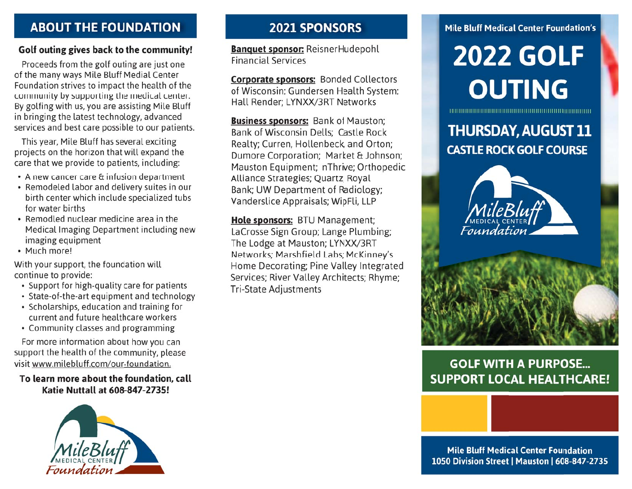## **ABOUT THE FOUNDATION**

#### Golf outing gives back to the community!

Proceeds from the golf outing are just one of the many ways Mile Bluff Medial Center Foundation strives to impact the health of the community by supporting the medical center. By golfing with us, you are assisting Mile Bluff in bringing the latest technology, advanced services and best care possible to our patients.

This year, Mile Bluff has several exciting projects on the horizon that will expand the care that we provide to patients, including:

- A new cancer care & infusion department
- Remodeled labor and delivery suites in our birth center which include specialized tubs for water births
- Remodled nuclear medicine area in the Medical Imaging Department including new imaging equipment
- Much more!

With your support, the foundation will continue to provide:

- Support for high-quality care for patients
- State-of-the-art equipment and technology
- Scholarships, education and training for current and future healthcare workers
- Community classes and programming

For more information about how you can support the health of the community, please visit www.milebluff.com/our-foundation.

To learn more about the foundation, call Katie Nuttall at 608-847-2735!



## **2021 SPONSORS**

**Banquet sponsor: ReisnerHudepohl Financial Services** 

**Corporate sponsors: Bonded Collectors** of Wisconsin; Gundersen Health System; Hall Render; LYNXX/3RT Networks

**Business sponsors:** Bank of Mauston; Bank of Wisconsin Dells; Castle Rock Realty; Curren, Hollenbeck, and Orton; Dumore Corporation; Market & Johnson; Mauston Equipment; nThrive; Orthopedic Alliance Strategies; Quartz; Royal Bank; UW Department of Radiology; Vanderslice Appraisals; WipFli, LLP

Hole sponsors: BTU Management; LaCrosse Sign Group; Lange Plumbing; The Lodge at Mauston; LYNXX/3RT Networks; Marshfield Labs; McKinney's Home Decorating; Pine Valley Integrated Services; River Valley Architects; Rhyme: **Tri-State Adjustments** 

#### **Mile Bluff Medical Center Foundation's**

# **2022 GOLF OUTING**

**THURSDAY, AUGUST 11 CASTLE ROCK GOLF COURSE** 



## **GOLF WITH A PURPOSE... SUPPORT LOCAL HEALTHCARE!**

**Mile Bluff Medical Center Foundation** 1050 Division Street | Mauston | 608-847-2735